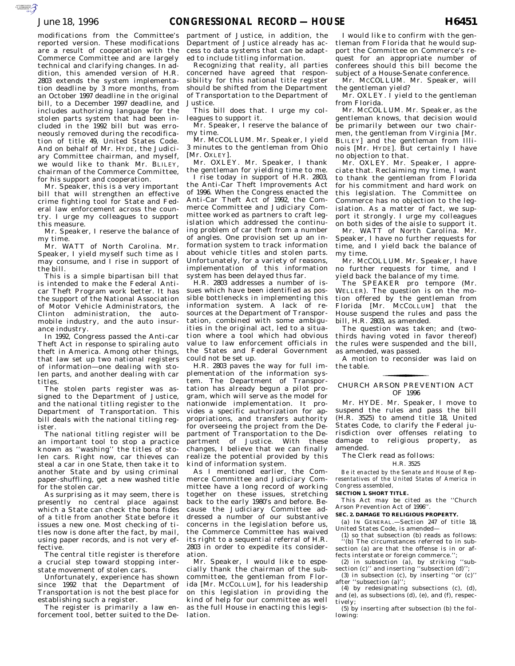modifications from the Committee's reported version. These modifications are a result of cooperation with the Commerce Committee and are largely technical and clarifying changes. In addition, this amended version of H.R. 2803 extends the system implementation deadline by 3 more months, from an October 1997 deadline in the original bill, to a December 1997 deadline, and includes authorizing language for the stolen parts system that had been included in the 1992 bill but was erroneously removed during the recodification of title 49, United States Code. And on behalf of Mr. HYDE, the Judiciary Committee chairman, and myself, we would like to thank Mr. BLILEY, chairman of the Commerce Committee, for his support and cooperation.

Mr. Speaker, this is a very important bill that will strengthen an effective crime fighting tool for State and Federal law enforcement across the country. I urge my colleagues to support this measure.

Mr. Speaker, I reserve the balance of my time.

Mr. WATT of North Carolina. Mr. Speaker, I yield myself such time as I may consume, and I rise in support of the bill.

This is a simple bipartisan bill that is intended to make the Federal Anticar Theft Program work better. It has the support of the National Association of Motor Vehicle Administrators, the Clinton administration, the automobile industry, and the auto insurance industry.

In 1992, Congress passed the Anti-car Theft Act in response to spiraling auto theft in America. Among other things, that law set up two national registers of information—one dealing with stolen parts, and another dealing with car titles.

The stolen parts register was assigned to the Department of Justice, and the national titling register to the Department of Transportation. This bill deals with the national titling register.

The national titling register will be an important tool to stop a practice known as ''washing'' the titles of stolen cars. Right now, car thieves can steal a car in one State, then take it to another State and by using criminal paper-shuffling, get a new washed title for the stolen car.

As surprising as it may seem, there is presently no central place against which a State can check the bona fides of a title from another State before it issues a new one. Most checking of titles now is done after the fact, by mail, using paper records, and is not very effective.

The central title register is therefore a crucial step toward stopping interstate movement of stolen cars.

Unfortunately, experience has shown since 1992 that the Department of Transportation is not the best place for establishing such a register.

The register is primarily a law enforcement tool, better suited to the Department of Justice, in addition, the Department of Justice already has access to data systems that can be adapted to include titling information.

Recognizing that reality, all parties concerned have agreed that responsibility for this national title register should be shifted from the Department of Transportation to the Department of Justice.

This bill does that. I urge my colleagues to support it.

Mr. Speaker, I reserve the balance of my time.

Mr. MCCOLLUM. Mr. Speaker, I yield 3 minutes to the gentleman from Ohio [Mr. OXLEY].

Mr. OXLEY. Mr. Speaker, I thank the gentleman for yielding time to me.

I rise today in support of H.R. 2803, the Anti-Car Theft Improvements Act of 1996. When the Congress enacted the Anti-Car Theft Act of 1992, the Commerce Committee and Judiciary Committee worked as partners to craft legislation which addressed the continuing problem of car theft from a number of angles. One provision set up an information system to track information about vehicle titles and stolen parts. Unfortunately, for a variety of reasons, implementation of this information system has been delayed thus far.

H.R. 2803 addresses a number of issues which have been identified as possible bottlenecks in implementing this information system. A lack of resources at the Department of Transportation, combined with some ambiguities in the original act, led to a situation where a tool which had obvious value to law enforcement officials in the States and Federal Government could not be set up.

H.R. 2803 paves the way for full implementation of the information system. The Department of Transportation has already begun a pilot program, which will serve as the model for nationwide implementation. It provides a specific authorization for appropriations, and transfers authority for overseeing the project from the Department of Transportation to the Department of Justice. With these changes, I believe that we can finally realize the potential provided by this kind of information system.

As I mentioned earlier, the Commerce Committee and Judiciary Committee have a long record of working together on these issues, stretching back to the early 1980's and before. Because the Judiciary Committee addressed a number of our substantive concerns in the legislation before us, the Commerce Committee has waived its right to a sequential referral of H.R. 2803 in order to expedite its consideration.

Mr. Speaker, I would like to especially thank the chairman of the subcommittee, the gentleman from Florida [Mr. MCCOLLUM], for his leadership on this legislation in providing the kind of help for our committee as well as the full House in enacting this legislation.

I would like to confirm with the gentleman from Florida that he would support the Committee on Commerce's request for an appropriate number of conferees should this bill become the subject of a House-Senate conference.

Mr. MCCOLLUM. Mr. Speaker, will the gentleman yield?

Mr. OXLEY. I yield to the gentleman from Florida.

Mr. MCCOLLUM. Mr. Speaker, as the gentleman knows, that decision would be primarily between our two chairmen, the gentleman from Virginia [Mr. BLILEY] and the gentleman from Illinois [Mr. HYDE]. But certainly I have no objection to that.

Mr. OXLEY. Mr. Speaker, I appreciate that. Reclaiming my time, I want to thank the gentleman from Florida for his commitment and hard work on this legislation. The Committee on Commerce has no objection to the legislation. As a matter of fact, we support it strongly. I urge my colleagues on both sides of the aisle to support it.

Mr. WATT of North Carolina. Mr. Speaker, I have no further requests for time, and I yield back the balance of my time.

Mr. MCCOLLUM. Mr. Speaker, I have no further requests for time, and I yield back the balance of my time.

The SPEAKER pro tempore (Mr. WELLER). The question is on the motion offered by the gentleman from Florida [Mr. MCCOLLUM] that the House suspend the rules and pass the bill, H.R. 2803, as amended.

The question was taken; and (twothirds having voted in favor thereof) the rules were suspended and the bill, as amended, was passed.

A motion to reconsider was laid on the table. for the control of the control of

## CHURCH ARSON PREVENTION ACT OF 1996

Mr. HYDE. Mr. Speaker, I move to suspend the rules and pass the bill (H.R. 3525) to amend title 18, United States Code, to clarify the Federal jurisdiction over offenses relating to damage to religious property, as amended.

The Clerk read as follows:

#### H.R. 3525

*Be it enacted by the Senate and House of Representatives of the United States of America in Congress assembled,*

## **SECTION 1. SHORT TITLE.**

This Act may be cited as the ''Church Arson Prevention Act of 1996''.

#### **SEC. 2. DAMAGE TO RELIGIOUS PROPERTY.**

(a) IN GENERAL.—Section 247 of title 18, United States Code, is amended—

(1) so that subsection (b) reads as follows: (b) The circumstances referred to in subsection (a) are that the offense is in or affects interstate or foreign commerce.'';

(2) in subsection (a), by striking ''subsection (c)" and inserting "subsection (d)" (3) in subsection (c), by inserting "or  $(c)$ "

after ''subsection (a)'';

(4) by redesignating subsections (c), (d), and (e), as subsections (d), (e), and (f), respectively;

(5) by inserting after subsection (b) the following: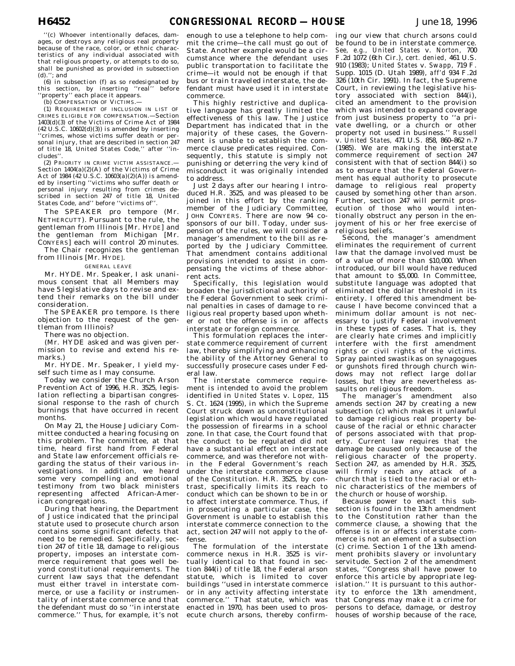''(c) Whoever intentionally defaces, damages, or destroys any religious real property because of the race, color, or ethnic characteristics of any individual associated with that religious property, or attempts to do so, shall be punished as provided in subsection (d).''; and

 $(6)$  in subsection (f) as so redesignated by this section, by inserting ''real'' before 'property'' each place it appears.

(b) COMPENSATION OF VICTIMS.—

(1) REQUIREMENT OF INCLUSION IN LIST OF CRIMES ELIGIBLE FOR COMPENSATION.—Section 1403(d)(3) of the Victims of Crime Act of 1984  $(42 \text{ U.S. C. } 10602 \text{ (d)}(3))$  is amended by inserting 'crimes, whose victims suffer death or personal injury, that are described in section 247 of title 18, United States Code,'' after ''includes''.

(2) PRIORITY IN CRIME VICTIM ASSISTANCE.— Section 1404(a)(2)(A) of the Victims of Crime Act of 1984 (42 U.S.C. 10603(a)(2)(A)) is amended by inserting ''victims who suffer death or personal injury resulting from crimes described in section 247 of title 18, United States Code, and'' before ''victims of''.

The SPEAKER pro tempore (Mr. NETHERCUTT). Pursuant to the rule, the gentleman from Illinois [Mr. HYDE] and the gentleman from Michigan [Mr. CONYERS] each will control 20 minutes.

The Chair recognizes the gentleman from Illinois [Mr. HYDE].

#### GENERAL LEAVE

Mr. HYDE. Mr. Speaker, I ask unanimous consent that all Members may have 5 legislative days to revise and extend their remarks on the bill under consideration.

The SPEAKER pro tempore. Is there objection to the request of the gentleman from Illinois?

There was no objection.

(Mr. HYDE asked and was given permission to revise and extend his remarks.)

Mr. HYDE. Mr. Speaker, I yield myself such time as I may consume.

Today we consider the Church Arson Prevention Act of 1996, H.R. 3525, legislation reflecting a bipartisan congressional response to the rash of church burnings that have occurred in recent months.

On May 21, the House Judiciary Committee conducted a hearing focusing on this problem. The committee, at that time, heard first hand from Federal and State law enforcement officials regarding the status of their various investigations. In addition, we heard some very compelling and emotional testimony from two black ministers representing affected African-American congregations.

During that hearing, the Department of Justice indicated that the principal statute used to prosecute church arson contains some significant defects that need to be remedied. Specifically, section 247 of title 18, damage to religious property, imposes an interstate commerce requirement that goes well beyond constitutional requirements. The current law says that the defendant must either travel in interstate commerce, or use a facility or instrumentality of interstate commerce and that the defendant must do so ''in interstate commerce.'' Thus, for example, it's not

enough to use a telephone to help commit the crime—the call must go out of State. Another example would be a circumstance where the defendant uses public transportation to facilitate the crime—it would not be enough if that bus or train traveled interstate, the defendant must have used it in interstate commerce.

This highly restrictive and duplicative language has greatly limited the effectiveness of this law. The Justice Department has indicated that in the majority of these cases, the Government is unable to establish the commerce clause predicates required. Consequently, this statute is simply not punishing or deterring the very kind of misconduct it was originally intended to address.

Just 2 days after our hearing I introduced H.R. 3525, and was pleased to be joined in this effort by the ranking member of the Judiciary Committee, JOHN CONYERS. There are now 94 cosponsors of our bill. Today, under suspension of the rules, we will consider a manager's amendment to the bill as reported by the Judiciary Committee. That amendment contains additional provisions intended to assist in compensating the victims of these abhorrent acts.

Specifically, this legislation would broaden the jurisdictional authority of the Federal Government to seek criminal penalties in cases of damage to religious real property based upon whether or not the offense is in or affects interstate or foreign commerce.

This formulation replaces the interstate commerce requirement of current law, thereby simplifying and enhancing the ability of the Attorney General to successfully prosecure cases under Federal law.

The interstate commerce requirement is intended to avoid the problem identified in *United States* v. *Lopez,* 115 S. Ct. 1624 (1995), in which the Supreme Court struck down as unconstitutional legislation which would have regulated the possession of firearms in a school zone. In that case, the Court found that the conduct to be regulated did not have a substantial effect on interstate commerce, and was therefore not within the Federal Government's reach under the interstate commerce clause of the Constitution. H.R. 3525, by contrast, specifically limits its reach to conduct which can be shown to be in or to affect interstate commerce. Thus, if in prosecuting a particular case, the Government is unable to establish this interstate commerce connection to the act, section 247 will not apply to the offense.

The formulation of the interstate commerce nexus in H.R. 3525 is virtually identical to that found in section 844(i) of title 18, the Federal arson statute, which is limited to cover buildings ''used in interstate commerce or in any activity affecting interstate commerce.'' That statute, which was enacted in 1970, has been used to prosecute church arsons, thereby confirm-

ing our view that church arsons could be found to be in interstate commerce. *See, e.g., United States* v. *Norton,* 700 F.2d 1072 (6th Cir.), *cert. denied,* 461 U.S. 910 (1983); *United States* v. *Swapp,* 719 F. Supp. 1015 (D. Utah 1989), *aff'd* 934 F.2d 326 (10th Cir. 1991). In fact, the Supreme Court, in reviewing the legislative history associated with section 844(i), cited an amendment to the provision which was intended to expand coverage from just business property to ''a private dwelling, or a church or other property not used in business.'' *Russell* v. *United States,* 471 U.S. 858, 860–862 n.7 (1985). We are making the interstate commerce requirement of section 247 consistent with that of section 844(i) so as to ensure that the Federal Government has equal authority to prosecute damage to religious real property caused by something other than arson. Further, section 247 will permit prosecution of those who would intentionally obstruct any person in the enjoyment of his or her free exercise of religious beliefs.

Second, the manager's amendment eliminates the requirement of current law that the damage involved must be of a value of more than \$10,000. When introduced, our bill would have reduced that amount to \$5,000. In Committee, substitute language was adopted that eliminated the dollar threshold in its entirety. I offered this amendment because I have become convinced that a minimum dollar amount is not necessary to justify Federal involvement in these types of cases. That is, they are clearly hate crimes and implicitly interfere with the first amendment rights or civil rights of the victims. Spray painted swastikas on synagogues or gunshots fired through church windows may not reflect large dollar losses, but they are nevertheless assaults on religious freedom.

The manager's amendment also amends section 247 by creating a new subsection (c) which makes it unlawful to damage religious real property because of the racial or ethnic character of persons associated with that property. Current law requires that the damage be caused only because of the religious character of the property. Section 247, as amended by H.R. 3525, will firmly reach any attack of a church that is tied to the racial or ethnic characteristics of the members of the church or house of worship.

Because power to enact this subsection is found in the 13th amendment to the Constitution rather than the commerce clause, a showing that the offense is in or affects interstate commerce is not an element of a subsection (c) crime. Section 1 of the 13th amendment prohibits slavery or involuntary servitude. Section 2 of the amendment states, ''Congress shall have power to enforce this article by appropriate legislation.'' It is pursuant to this authority to enforce the 13th amendment, that Congress may make it a crime for persons to deface, damage, or destroy houses of worship because of the race,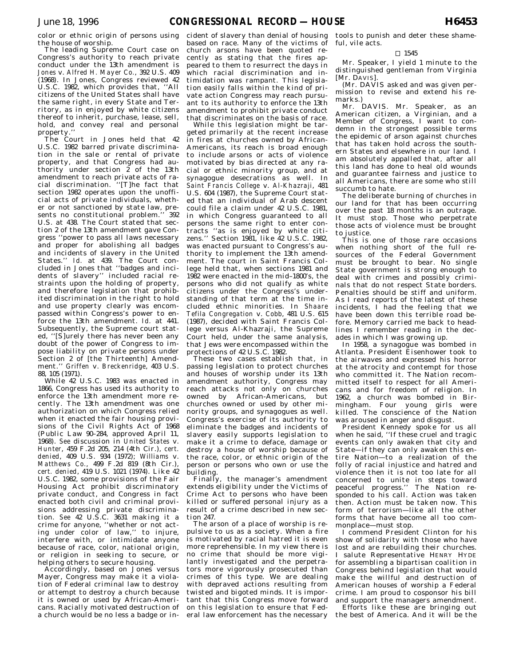color or ethnic origin of persons using the house of worship.

The leading Supreme Court case on Congress's authority to reach private conduct under the 13th amendment is *Jones* v. *Alfred H. Mayer Co.*, 392 U.S. 409 (1968). In Jones, Congress reviewed 42 U.S.C. 1982, which provides that, ''All citizens of the United States shall have the same right, in every State and Territory, as in enjoyed by white citizens thereof to inherit, purchase, lease, sell, hold, and convey real and personal property.''

The Court in Jones held that 42 U.S.C. 1982 barred private discrimination in the sale or rental of private property, and that Congress had authority under section  $\tilde{z}$  of the 13th amendment to reach private acts of racial discrimination. ''[T]he fact that section 1982 operates upon the unofficial acts of private individuals, whether or not sanctioned by state law, presents no constitutional problem.'' 392 U.S. at 438. The Court stated that section 2 of the 13th amendment gave Congress ''power to pass all laws necessary and proper for abolishing all badges and incidents of slavery in the United States." *Id.* at 439. The Court concluded in Jones that ''badges and incidents of slavery'' included racial restraints upon the holding of property, and therefore legislation that prohibited discrimination in the right to hold and use property clearly was encompassed within Congress's power to enforce the 13th amendment. *Id.* at 441. Subsequently, the Supreme court stated, ''[S]urely there has never been any doubt of the power of Congress to impose liability on private persons under Section 2 of [the Thirteenth] Amendment.'' *Griffen* v. *Breckenridge*, 403 U.S. 88, 105 (1971).

While 42 U.S.C. 1983 was enacted in 1866, Congress has used its authority to enforce the 13th amendment more recently. The 13th amendment was one authorization on which Congress relied when it enacted the fair housing provisions of the Civil Rights Act of 1968 (Public Law 90–284, approved April 11, 1968). *See* discussion in *United States* v. *Hunter*, 459 F.2d 205, 214 (4th Cir.), *cert. denied*, 409 U.S. 934 (1972); *Williams* v. *Matthews Co.*, 499 F.2d 819 (8th Cir.), *cert. denied*, 419 U.S. 1021 (1974). Like 42 U.S.C. 1982, some provisions of the Fair Housing Act prohibit discriminatory private conduct, and Congress in fact enacted both civil and criminal provisions addressing private discrimination. *See* 42 U.S.C. 3631 making it a crime for anyone, ''whether or not acting under color of law,'' to injure, interfere with, or intimidate anyone because of race, color, national origin, or religion in seeking to secure, or helping others to secure housing.

Accordingly, based on Jones versus Mayer, Congress may make it a violation of Federal criminal law to destroy or attempt to destroy a church because it is owned or used by African-Americans. Racially motivated destruction of a church would be no less a badge or in-

cident of slavery than denial of housing based on race. Many of the victims of church arsons have been quoted recently as stating that the fires appeared to them to resurrect the days in which racial discrimination and intimidation was rampant. This legislation easily falls within the kind of private action Congress may reach pursuant to its authority to enforce the 13th amendment to prohibit private conduct that discriminates on the basis of race.

While this legislation might be targeted primarily at the recent increase in fires at churches owned by African-Americans, its reach is broad enough to include arsons or acts of violence motivated by bias directed at any racial or ethnic minority group, and at synagogue desecrations as well. In *Saint Francis College* v. *Al-Khazraji*, 481 U.S. 604 (1987), the Supreme Court stated that an individual of Arab descent could file a claim under 42 U.S.C. 1981, in which Congress guaranteed to all persons the same right to enter contracts ''as is enjoyed by white citizens.'' Section 1981, like 42 U.S.C. 1982, was enacted pursuant to Congress's authority to implement the 13th amendment. The court in Saint Francis College held that, when sections 1981 and 1982 were enacted in the mid–1800's, the persons who did not qualify as white citizens under the Congress's understanding of that term at the time included ethnic minorities. In *Shaare Tefila Congregation* v. *Cobb*, 481 U.S. 615 (1987), decided with Saint Francis College versus Al-Khazraji, the Supreme Court held, under the same analysis, that Jews were encompassed within the protections of 42 U.S.C. 1982.

These two cases establish that, in passing legislation to protect churches and houses of worship under its 13th amendment authority, Congress may reach attacks not only on churches owned by African-Americans, but churches owned or used by other minority groups, and synagogues as well. Congress's exercise of its authority to eliminate the badges and incidents of slavery easily supports legislation to make it a crime to deface, damage or destroy a house of worship because of the race, color, or ethnic origin of the person or persons who own or use the building.

Finally, the manager's amendment extends eligibility under the Victims of Crime Act to persons who have been killed or suffered personal injury as a result of a crime described in new section 247.

The arson of a place of worship is repulsive to us as a society. When a fire is motivated by racial hatred it is even more reprehensible. In my view there is no crime that should be more vigilantly investigated and the perpetrators more vigorously prosecuted than crimes of this type. We are dealing with depraved actions resulting from twisted and bigoted minds. It is important that this Congress move forward on this legislation to ensure that Federal law enforcement has the necessary

tools to punish and deter these shameful, vile acts.

#### $\Box$  1545

Mr. Speaker, I yield 1 minute to the distinguished gentleman from Virginia [Mr. DAVIS].

(Mr. DAVIS asked and was given permission to revise and extend his remarks.)

Mr. DAVIS. Mr. Speaker, as an American citizen, a Virginian, and a Member of Congress, I want to condemn in the strongest possible terms the epidemic of arson against churches that has taken hold across the southern States and elsewhere in our land. I am absolutely appalled that, after all this land has done to heal old wounds and guarantee fairness and justice to all Americans, there are some who still succumb to hate.

The deliberate burning of churches in our land for that has been occurring over the past 18 months is an outrage. It must stop. Those who perpetrate those acts of violence must be brought to justice.

This is one of those rare occasions when nothing short of the full resources of the Federal Government must be brought to bear. No single State government is strong enough to deal with crimes and possibly criminals that do not respect State borders. Penalties should be stiff and uniform. As I read reports of the latest of these incidents, I had the feeling that we have been down this terrible road before. Memory carried me back to headlines I remember reading in the decades in which I was growing up.

In 1958, a synagogue was bombed in Atlanta. President Eisenhower took to the airwaves and expressed his horror at the atrocity and contempt for those who committed it. The Nation recommitted itself to respect for all Americans and for freedom of religion. In 1962, a church was bombed in Birmingham. Four young girls were killed. The conscience of the Nation was aroused in anger and disgust.

President Kennedy spoke for us all when he said, ''If these cruel and tragic events can only awaken that city and State—if they can only awaken this entire Nation—to a realization of the folly of racial injustice and hatred and violence then it is not too late for all concerned to unite in steps toward peaceful progress.'' The Nation responded to his call. Action was taken then. Action must be taken now. This form of terrorism—like all the other forms that have become all too commonplace—must stop.

I commend President Clinton for his show of solidarity with those who have lost and are rebuilding their churches. I salute Representative HENRY HYDE for assembling a bipartisan coalition in Congress behind legislation that would make the willful and destruction of American houses of worship a Federal crime. I am proud to cosponsor his bill and support the managers amendment.

Efforts like these are bringing out the best of America. And it will be the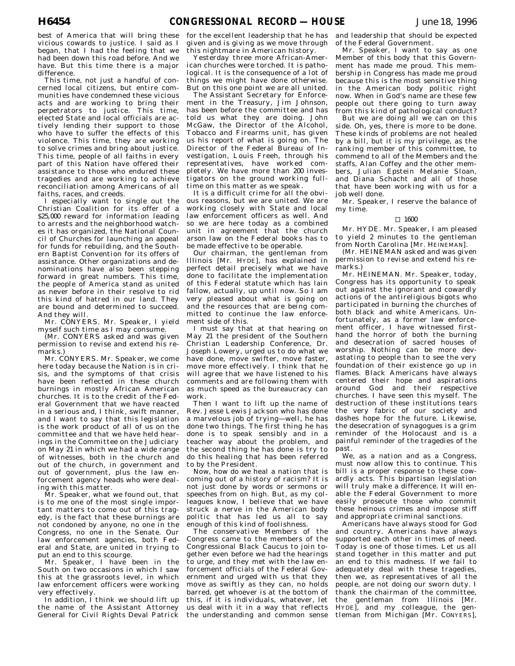difference. This time, not just a handful of concerned local citizens, but entire communities have condemned these vicious acts and are working to bring their perpetrators to justice. This time, elected State and local officials are actively lending their support to those who have to suffer the effects of this violence. This time, they are working to solve crimes and bring about justice. This time, people of all faiths in every part of this Nation have offered their assistance to those who endured these tragedies and are working to achieve reconciliation among Americans of all faiths, races, and creeds.

I especially want to single out the Christian Coalition for its offer of a \$25,000 reward for information leading to arrests and the neighborhood watches it has organized, the National Council of Churches for launching an appeal for funds for rebuilding, and the Southern Baptist Convention for its offers of assistance. Other organizations and denominations have also been stepping forward in great numbers. This time, the people of America stand as united as never before in their resolve to rid this kind of hatred in our land. They are bound and determined to succeed. And they will.

Mr. CONYERS. Mr. Speaker, I yield myself such time as I may consume.

(Mr. CONYERS asked and was given permission to revise and extend his re-.<br>marks.)

Mr. CONYERS. Mr. Speaker, we come here today because the Nation is in crisis, and the symptoms of that crisis have been reflected in these church burnings in mostly African American churches. It is to the credit of the Federal Government that we have reacted in a serious and, I think, swift manner, and I want to say that this legislation is the work product of all of us on the committee and that we have held hearings in the Committee on the Judiciary on May 21 in which we had a wide range of witnesses, both in the church and out of the church, in government and out of government, plus the law enforcement agency heads who were dealing with this matter.

Mr. Speaker, what we found out, that is to me one of the most single important matters to come out of this tragedy, is the fact that these burnings are not condoned by anyone, no one in the Congress, no one in the Senate. Our law enforcement agencies, both Federal and State, are united in trying to put an end to this scourge.

Mr. Speaker, I have been in the South on two occasions in which I saw this at the grassroots level, in which law enforcement officers were working very effectively.

In addition, I think we should lift up the name of the Assistant Attorney General for Civil Rights Deval Patrick for the excellent leadership that he has given and is giving as we move through this nightmare in American history.

Yesterday three more African-American churches were torched. It is pathological. It is the consequence of a lot of things we might have done otherwise. But on this one point we are all united.

The Assistant Secretary for Enforcement in the Treasury, Jim Johnson, has been before the committee and has told us what they are doing. John McGaw, the Director of the Alcohol, Tobacco and Firearms unit, has given us his report of what is going on. The Director of the Federal Bureau of Investigation, Louis Freeh, through his representatives, have worked completely. We have more than 200 investigators on the ground working fulltime on this matter as we speak.

It is a difficult crime for all the obvious reasons, but we are united. We are working closely with State and local law enforcement officers as well. And so we are here today as a combined unit in agreement that the church arson law on the Federal books has to be made effective to be operable.

Our chairman, the gentleman from Illinois [Mr. HYDE], has explained in perfect detail precisely what we have done to facilitate the implementation of this Federal statute which has lain fallow, actually, up until now. So I am very pleased about what is going on and the resources that are being committed to continue the law enforcement side of this.

I must say that at that hearing on May 21 the president of the Southern Christian Leadership Conference, Dr. Joseph Lowery, urged us to do what we have done, move swifter, move faster, move more effectively. I think that he will agree that we have listened to his comments and are following them with as much speed as the bureaucracy can work.

Then I want to lift up the name of Rev. Jesse Lewis Jackson who has done a marvelous job of trying—well, he has done two things. The first thing he has done is to speak sensibly and in a teacher way about the problem, and the second thing he has done is try to do this healing that has been referred to by the President.

Now, how do we heal a nation that is coming out of a history of racism? It is not just done by words or sermons or speeches from on high. But, as my colleagues know, I believe that we have struck a nerve in the American body politic that has led us all to say enough of this kind of foolishness.

The conservative Members of the Congress came to the members of the Congressional Black Caucus to join together even before we had the hearings to urge, and they met with the law enforcement officials of the Federal Government and urged with us that they move as swiftly as they can, no holds barred, get whoever is at the bottom of this, if it is individuals, whatever, let us deal with it in a way that reflects the understanding and common sense

and leadership that should be expected of the Federal Government.

Mr. Speaker, I want to say as one Member of this body that this Government has made me proud. This membership in Congress has made me proud because this is the most sensitive thing in the American body politic right now. When in God's name are these few people out there going to turn away from this kind of pathological conduct?

But we are doing all we can on this side. Oh, yes, there is more to be done. These kinds of problems are not healed by a bill, but it is my privilege, as the ranking member of this committee, to commend to all of the Members and the staffs, Alan Coffey and the other members, Julian Epstein Melanie Sloan, and Diana Schacht and all of those that have been working with us for a job well done.

Mr. Speaker, I reserve the balance of my time.

## $\Box$  1600

Mr. HYDE. Mr. Speaker, I am pleased to yield 2 minutes to the gentleman from North Carolina [Mr. HEINEMAN].

(Mr. HEINEMAN asked and was given permission to revise and extend his remarks.)

Mr. HEINEMAN. Mr. Speaker, today, Congress has its opportunity to speak out against the ignorant and cowardly actions of the antireligious bigots who participated in burning the churches of both black and white Americans. Unfortunately, as a former law enforcement officer, I have witnessed firsthand the horror of both the burning and desecration of sacred houses of worship. Nothing can be more devastating to people than to see the very foundation of their existence go up in flames. Black Americans have always centered their hope and aspirations around God and their respective churches. I have seen this myself. The destruction of these institutions tears the very fabric of our society and dashes hope for the future. Likewise, the desecration of synagogues is a grim reminder of the Holocaust and is a painful reminder of the tragedies of the past.

We, as a nation and as a Congress, must now allow this to continue. This bill is a proper response to these cowardly acts. This bipartisan legislation will truly make a difference. It will enable the Federal Government to more easily prosecute those who commit these heinous crimes and impose stiff and appropriate criminal sanctions.

Americans have always stood for God and country. Americans have always supported each other in times of need. Today is one of those times. Let us all stand together in this matter and put an end to this madness. If we fail to adequately deal with these tragedies, then we, as representatives of all the people, are not doing our sworn duty. I thank the chairman of the committee, the gentleman from Illinois [Mr. HYDE], and my colleague, the gentleman from Michigan [Mr. CONYERS],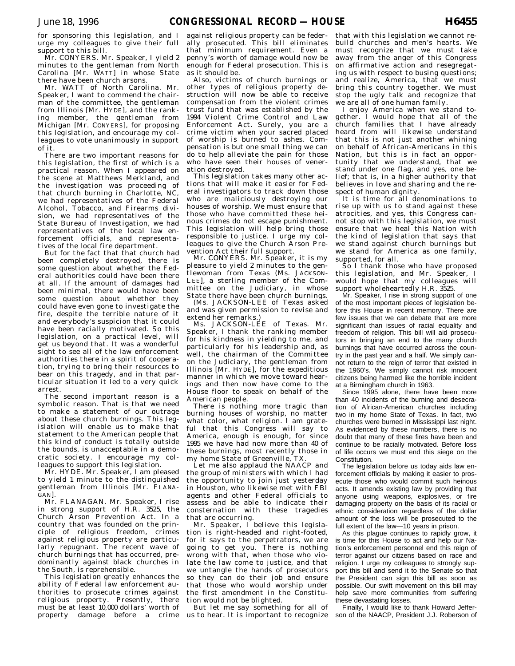for sponsoring this legislation, and I urge my colleagues to give their full support to this bill.

Mr. CONYERS. Mr. Speaker, I yield 2 minutes to the gentleman from North Carolina [Mr. WATT] in whose State there have been church arsons.

Mr. WATT of North Carolina. Mr. Speaker, I want to commend the chairman of the committee, the gentleman from Illinois [Mr. HYDE], and the ranking member, the gentleman from Michigan [Mr. CONYERS], for proposing this legislation, and encourage my colleagues to vote unanimously in support of it.

There are two important reasons for this legislation, the first of which is a practical reason. When I appeared on the scene at Matthews Merkland, and the investigation was proceeding of that church burning in Charlotte, NC, we had representatives of the Federal Alcohol, Tobacco, and Firearms division, we had representatives of the State Bureau of Investigation, we had representatives of the local law enforcement officials, and representatives of the local fire department.

But for the fact that that church had been completely destroyed, there is some question about whether the Federal authorities could have been there at all. If the amount of damages had been minimal, there would have been some question about whether they could have even gone to investigate the fire, despite the terrible nature of it and everybody's suspicion that it could have been racially motivated. So this legislation, on a practical level, will get us beyond that. It was a wonderful sight to see all of the law enforcement authorities there in a spirit of cooperation, trying to bring their resources to bear on this tragedy, and in that particular situation it led to a very quick arrest.

The second important reason is a symbolic reason. That is that we need to make a statement of our outrage about these church burnings. This legislation will enable us to make that statement to the American people that this kind of conduct is totally outside the bounds, is unacceptable in a democratic society. I encourage my colleagues to support this legislation.

Mr. HYDE. Mr. Speaker, I am pleased to yield 1 minute to the distinguished gentleman from Illinois [Mr. FLANA-GAN].

Mr. FLANAGAN. Mr. Speaker, I rise in strong support of H.R. 3525, the Church Arson Prevention Act. In a country that was founded on the principle of religious freedom, crimes against religious property are particularly repugnant. The recent wave of church burnings that has occurred, predominantly against black churches in the South, is reprehensible.

This legislation greatly enhances the ability of Federal law enforcement authorities to prosecute crimes against religious property. Presently, there must be at least 10,000 dollars' worth of property damage before a crime

against religious property can be federally prosecuted. This bill eliminates that minimum requirement. Even a penny's worth of damage would now be enough for Federal prosecution. This is as it should be.

Also, victims of church burnings or other types of religious property destruction will now be able to receive compensation from the violent crimes trust fund that was established by the 1994 Violent Crime Control and Law Enforcement Act. Surely, you are a crime victim when your sacred placed of worship is burned to ashes. Compensation is but one small thing we can do to help alleviate the pain for those who have seen their houses of veneration destroyed.

This legislation takes many other actions that will make it easier for Federal investigators to track down those who are maliciously destroying our houses of worship. We must ensure that those who have committed these heinous crimes do not escape punishment. This legislation will help bring those responsible to justice. I urge my colleagues to give the Church Arson Prevention Act their full support.

Mr. CONYERS. Mr. Speaker, it is my pleasure to yield 2 minutes to the gentlewoman from Texas (Ms. JACKSON-LEE], a sterling member of the Committee on the Judiciary, in whose State there have been church burnings.

(Ms. JACKSON-LEE of Texas asked and was given permission to revise and extend her remarks.)

Ms. JACKSON-LEE of Texas. Mr. Speaker, I thank the ranking member for his kindness in yielding to me, and particularly for his leadership and, as well, the chairman of the Committee on the Judiciary, the gentleman from Illinois [Mr. HYDE], for the expeditious manner in which we move toward hearings and then now have come to the House floor to speak on behalf of the American people.

There is nothing more tragic than burning houses of worship, no matter what color, what religion. I am grateful that this Congress will say to America, enough is enough, for since 1995 we have had now more than 40 of these burnings, most recently those in my home State of Greenville, TX.

Let me also applaud the NAACP and the group of ministers with which I had the opportunity to join just yesterday in Houston, who likewise met with FBI agents and other Federal officials to assess and be able to indicate their consternation with these tragedies that are occurring.

Mr. Speaker, I believe this legislation is right-headed and right-footed, for it says to the perpetrators, we are going to get you. There is nothing wrong with that, when those who violate the law come to justice, and that we untangle the hands of prosecutors so they can do their job and ensure that those who would worship under the first amendment in the Constitution would not be blighted.

But let me say something for all of us to hear. It is important to recognize

that with this legislation we cannot rebuild churches and men's hearts. We must recognize that we must take away from the anger of this Congress on affirmative action and resegregating us with respect to busing questions; and realize, America, that we must bring this country together. We must stop the ugly talk and recognize that we are all of one human family.

I enjoy America when we stand together. I would hope that all of the church families that I have already heard from will likewise understand that this is not just another whining on behalf of African-Americans in this Nation, but this is in fact an opportunity that we understand, that we stand under one flag, and yes, one belief; that is, in a higher authority that believes in love and sharing and the respect of human dignity.

It is time for all denominations to rise up with us to stand against these atrocities, and yes, this Congress cannot stop with this legislation, we must ensure that we heal this Nation with the kind of legislation that says that we stand against church burnings but we stand for America as one family, supported, for all.

So I thank those who have proposed this legislation, and Mr. Speaker, I would hope that my colleagues will support wholeheartedly H.R. 3525.

Mr. Speaker, I rise in strong support of one of the most important pieces of legislation before this House in recent memory. There are few issues that we can debate that are more significant than issues of racial equality and freedom of religion. This bill will aid prosecutors in bringing an end to the many church burnings that have occurred across the country in the past year and a half. We simply cannot return to the reign of terror that existed in the 1960's. We simply cannot risk innocent citizens being harmed like the horrible incident at a Birmingham church in 1963.

Since 1995 alone, there have been more than 40 incidents of the burning and desecration of African-American churches including two in my home State of Texas. In fact, two churches were burned in Mississippi last night. As evidenced by these numbers, there is no doubt that many of these fires have been and continue to be racially motivated. Before loss of life occurs we must end this siege on the Constitution.

The legislation before us today aids law enforcement officials by making it easier to prosecute those who would commit such heinous acts. It amends existing law by providing that anyone using weapons, explosives, or fire damaging property on the basis of its racial or ethnic consideration regardless of the dollar amount of the loss will be prosecuted to the full extent of the law—10 years in prison.

As this plague continues to rapidly grow, it is time for this House to act and help our Nation's enforcement personnel end this reign of terror against our citizens based on race and religion. I urge my colleagues to strongly support this bill and send it to the Senate so that the President can sign this bill as soon as possible. Our swift movement on this bill may help save more communities from suffering these devastating losses.

Finally, I would like to thank Howard Jefferson of the NAACP, President J.J. Roberson of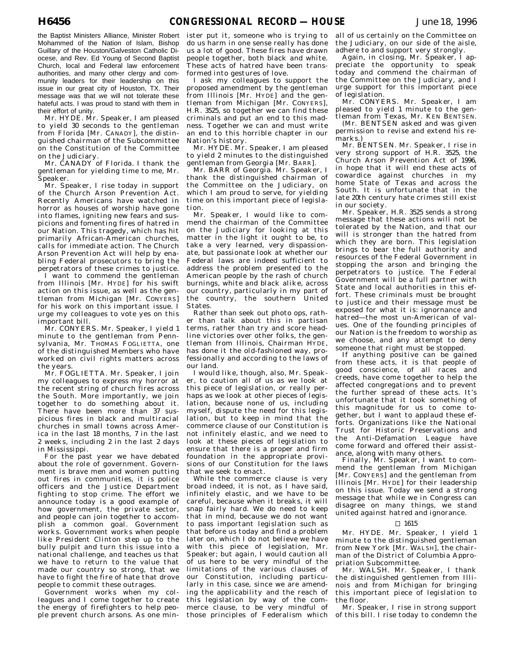the Baptist Ministers Alliance, Minister Robert Mohammed of the Nation of Islam, Bishop Guillary of the Houston/Galveston Catholic Diocese, and Rev. Ed Young of Second Baptist Church, local and Federal law enforcement authorities, and many other clergy and community leaders for their leadership on this issue in our great city of Houston, TX. Their message was that we will not tolerate these hateful acts. I was proud to stand with them in their effort of unity.

Mr. HYDE. Mr. Speaker, I am pleased to yield 30 seconds to the gentleman from Florida [Mr. CANADY], the distinguished chairman of the Subcommittee on the Constitution of the Committee on the Judiciary.

Mr. CANADY of Florida. I thank the gentleman for yielding time to me, Mr. Speaker.

Mr. Speaker, I rise today in support of the Church Arson Prevention Act. Recently Americans have watched in horror as houses of worship have gone into flames, igniting new fears and suspicions and fomenting fires of hatred in our Nation. This tragedy, which has hit primarily African-American churches, calls for immediate action. The Church Arson Prevention Act will help by enabling Federal prosecutors to bring the perpetrators of these crimes to justice. I want to commend the gentleman from Illinois [Mr. HYDE] for his swift action on this issue, as well as the gentleman from Michigan [Mr. CONYERS] for his work on this important issue. I urge my colleagues to vote yes on this important bill.

Mr. CONYERS. Mr. Speaker, I yield 1 minute to the gentleman from Pennsylvania, Mr. THOMAS FOGLIETTA, one of the distinguished Members who have worked on civil rights matters across the years.

Mr. FOGLIETTA. Mr. Speaker, I join my colleagues to express my horror at the recent string of church fires across the South. More importantly, we join together to do something about it. There have been more than 37 suspicious fires in black and multiracial churches in small towns across America in the last 18 months, 7 in the last 2 weeks, including 2 in the last 2 days in Mississippi.

For the past year we have debated about the role of government. Government is brave men and women putting out fires in communities, it is police officers and the Justice Department fighting to stop crime. The effort we announce today is a good example of how government, the private sector, and people can join together to accomplish a common goal. Government works. Government works when people like President Clinton step up to the bully pulpit and turn this issue into a national challenge, and teaches us that we have to return to the value that made our country so strong, that we have to fight the fire of hate that drove people to commit these outrages.

Government works when my colleagues and I come together to create the energy of firefighters to help people prevent church arsons. As one min-

ister put it, someone who is trying to do us harm in one sense really has done us a lot of good. These fires have drawn people together, both black and white. These acts of hatred have been transformed into gestures of love.

I ask my colleagues to support the proposed amendment by the gentleman from Illinois [Mr. HYDE] and the gentleman from Michigan [Mr. CONYERS], H.R. 3525, so together we can find these criminals and put an end to this madness. Together we can and must write an end to this horrible chapter in our Nation's history.

Mr. HYDE. Mr. Speaker, I am pleased to yield 2 minutes to the distinguished gentleman from Georgia [Mr. BARR].

Mr. BARR of Georgia. Mr. Speaker, I thank the distinguished chairman of the Committee on the Judiciary, on which I am proud to serve, for yielding time on this important piece of legislation.

Mr. Speaker, I would like to commend the chairman of the Committee on the Judiciary for looking at this matter in the light it ought to be, to take a very learned, very dispassionate, but passionate look at whether our Federal laws are indeed sufficient to address the problem presented to the American people by the rash of church burnings, white and black alike, across our country, particularly in my part of the country, the southern United States.

Rather than seek out photo ops, rather than talk about this in partisan terms, rather than try and score headline victories over other folks, the gentleman from Illinois, Chairman HYDE, has done it the old-fashioned way, professionally and according to the laws of our land.

I would like, though, also, Mr. Speaker, to caution all of us as we look at this piece of legislation, or really perhaps as we look at other pieces of legislation, because none of us, including myself, dispute the need for this legislation, but to keep in mind that the commerce clause of our Constitution is not infinitely elastic, and we need to look at these pieces of legislation to ensure that there is a proper and firm foundation in the appropriate provisions of our Constitution for the laws that we seek to enact.

While the commerce clause is very broad indeed, it is not, as I have said, infinitely elastic, and we have to be careful, because when it breaks, it will snap fairly hard. We do need to keep that in mind, because we do not want to pass important legislation such as that before us today and find a problem later on, which I do not believe we have with this piece of legislation, Mr. Speaker; but again, I would caution all of us here to be very mindful of the limitations of the various clauses of our Constitution, including particularly in this case, since we are amending the applicability and the reach of this legislation by way of the commerce clause, to be very mindful of those principles of Federalism which

all of us certainly on the Committee on the Judiciary, on our side of the aisle, adhere to and support very strongly.

Again, in closing, Mr. Speaker, I appreciate the opportunity to speak today and commend the chairman of the Committee on the Judiciary, and I urge support for this important piece of legislation.

Mr. CONYERS. Mr. Speaker, I am pleased to yield 1 minute to the gentleman from Texas, Mr. KEN BENTSEN.

(Mr. BENTSEN asked and was given permission to revise and extend his re-.<br>marks.)

Mr. BENTSEN. Mr. Speaker, I rise in very strong support of H.R. 3525, the Church Arson Prevention Act of 1996, in hope that it will end these acts of cowardice against churches in my home State of Texas and across the South. It is unfortunate that in the late 20th century hate crimes still exist in our society.

Mr. Speaker, H.R. 3525 sends a strong message that these actions will not be tolerated by the Nation, and that our will is stronger than the hatred from which they are born. This legislation brings to bear the full authority and resources of the Federal Government in stopping the arson and bringing the perpetrators to justice. The Federal Government will be a full partner with State and local authorities in this effort. These criminals must be brought to justice and their message must be exposed for what it is: ignornance and hatred—the most un-American of values. One of the founding principles of our Nation is the freedom to worship as we choose, and any attempt to deny someone that right must be stopped.

If anything positive can be gained from these acts, it is that people of good conscience, of all races and creeds, have come together to help the affected congregations and to prevent the further spread of these acts. It's unfortunate that it took something of this magnitude for us to come together, but I want to applaud these efforts. Organizations like the National Trust for Historic Preservations and the Anti-Defamation League have come forward and offered their assistance, along with many others.

Finally, Mr. Speaker, I want to commend the gentleman from Michigan [Mr. CONYERS] and the gentleman from Illinois [Mr. HYDE] for their leadership on this issue. Today we send a strong message that while we in Congress can disagree on many things, we stand united against hatred and ignorance.

## $\square$  1615

Mr. HYDE. Mr. Speaker, I yield 1 minute to the distinguished gentleman from New York [Mr. WALSH], the chairman of the District of Columbia Appropriation Subcommittee.

Mr. WALSH. Mr. Speaker, I thank the distinguished gentlemen from Illinois and from Michigan for bringing this important piece of legislation to the floor.

Mr. Speaker, I rise in strong support of this bill. I rise today to condemn the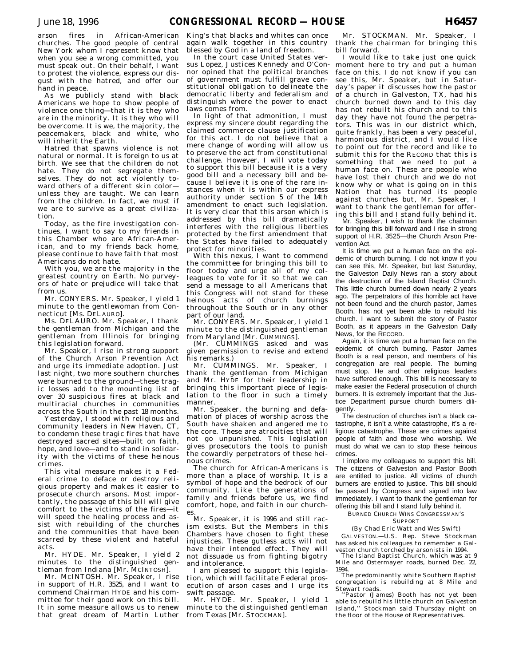arson fires in African-American churches. The good people of central New York whom I represent know that when you see a wrong committed, you must speak out. On their behalf, I want to protest the violence, express our disgust with the hatred, and offer our hand in peace.

As we publicly stand with black Americans we hope to show people of violence one thing—that it is they who are in the minority. It is they who will be overcome. It is we, the majority, the peacemakers, black and white, who will inherit the Earth.

Hatred that spawns violence is not natural or normal. It is foreign to us at birth. We see that the children do not hate. They do not segregate themselves. They do not act violently toward others of a different skin color unless they are taught. We can learn from the children. In fact, we must if we are to survive as a great civilization.

Today, as the fire investigation continues, I want to say to my friends in this Chamber who are African-American, and to my friends back home, please continue to have faith that most Americans do not hate.

With you, we are the majority in the greatest country on Earth. No purveyors of hate or prejudice will take that from us.

Mr. CONYERS. Mr. Speaker, I yield 1 minute to the gentlewoman from Connecticut [Ms. DELAURO].

Ms. DELAURO. Mr. Speaker, I thank the gentleman from Michigan and the gentleman from Illinois for bringing this legislation forward.

Mr. Speaker, I rise in strong support of the Church Arson Prevention Act and urge its immediate adoption. Just last night, two more southern churches were burned to the ground—these tragic losses add to the mounting list of over 30 suspicious fires at black and multiracial churches in communities across the South in the past 18 months.

Yesterday, I stood with religious and community leaders in New Haven, CT, to condemn these tragic fires that have destroyed sacred sites—built on faith, hope, and love—and to stand in solidarity with the victims of these heinous crimes.

This vital measure makes it a Federal crime to deface or destroy religious property and makes it easier to prosecute church arsons. Most importantly, the passage of this bill will give comfort to the victims of the fires—it will speed the healing process and assist with rebuilding of the churches and the communities that have been scarred by these violent and hateful acts.

Mr. HYDE. Mr. Speaker, I yield 2 minutes to the distinguished gentleman from Indiana [Mr. MCINTOSH].

Mr. MCINTOSH. Mr. Speaker, I rise in support of H.R. 3525, and I want to commend Chairman HYDE and his committee for their good work on this bill. It in some measure allows us to renew that great dream of Martin Luther

King's that blacks and whites can once again walk together in this country blessed by God in a land of freedom.

In the court case United States versus Lopez, Justices Kennedy and O'Connor opined that the political branches of government must fulfill grave constitutional obligation to delineate the democratic liberty and federalism and distinguish where the power to enact laws comes from.

In light of that admonition, I must express my sincere doubt regarding the claimed commerce clause justification for this act. I do not believe that a mere change of wording will allow us to preserve the act from constitutional challenge. However, I will vote today to support this bill because it is a very good bill and a necessary bill and because I believe it is one of the rare instances when it is within our express authority under section 5 of the 14th amendment to enact such legislation. It is very clear that this arson which is addressed by this bill dramatically interferes with the religious liberties protected by the first amendment that the States have failed to adequately protect for minorities.

With this nexus, I want to commend the committee for bringing this bill to floor today and urge all of my colleagues to vote for it so that we can send a message to all Americans that this Congress will not stand for these heinous acts of church burnings throughout the South or in any other part of our land.

Mr. CONYERS. Mr. Speaker, I yield 1 minute to the distinguished gentleman from Maryland [Mr. CUMMINGS].

(Mr. CUMMINGS asked and was given permission to revise and extend his remarks.)

Mr. CUMMINGS. Mr. Speaker, I thank the gentleman from Michigan and Mr. HYDE for their leadership in bringing this important piece of legislation to the floor in such a timely manner.

Mr. Speaker, the burning and defamation of places of worship across the South have shaken and angered me to the core. These are atrocities that will not go unpunished. This legislation gives prosecutors the tools to punish the cowardly perpetrators of these heinous crimes.

The church for African-Americans is more than a place of worship. It is a symbol of hope and the bedrock of our community. Like the generations of family and friends before us, we find comfort, hope, and faith in our churches.

Mr. Speaker, it is 1996 and still racism exists. But the Members in this Chambers have chosen to fight these injustices. These gutless acts will not have their intended effect. They will not dissuade us from fighting bigotry and intolerance.

I am pleased to support this legislation, which will facilitate Federal prosecution of arson cases and I urge its swift passage.

Mr. HYDE. Mr. Speaker, I yield 1 minute to the distinguished gentleman from Texas [Mr. STOCKMAN].

Mr. STOCKMAN. Mr. Speaker, I thank the chairman for bringing this bill forward.

I would like to take just one quick moment here to try and put a human face on this. I do not know if you can see this, Mr. Speaker, but in Saturday's paper it discusses how the pastor of a church in Galveston, TX, had his church burned down and to this day has not rebuilt his church and to this day they have not found the perpetrators. This was in our district which, quite frankly, has been a very peaceful, harmonious district, and I would like to point out for the record and like to submit this for the RECORD that this is something that we need to put a human face on. These are people who have lost their church and we do not know why or what is going on in this Nation that has turned its people against churches but, Mr. Speaker, I want to thank the gentleman for offering this bill and I stand fully behind it.

Mr. Speaker, I wish to thank the chairman for bringing this bill forward and I rise in strong support of H.R. 3525—the Church Arson Prevention Act.

It is time we put a human face on the epidemic of church burning. I do not know if you can see this, Mr. Speaker, but last Saturday, the Galveston Daily News ran a story about the destruction of the Island Baptist Church. This little church burned down nearly 2 years ago. The perpetrators of this horrible act have not been found and the church pastor, James Booth, has not yet been able to rebuild his church. I want to submit the story of Pastor Booth, as it appears in the Galveston Daily News, for the RECORD.

Again, it is time we put a human face on the epidemic of church burning. Pastor James Booth is a real person, and members of his congregation are real people. The burning must stop. He and other religious leaders have suffered enough. This bill is necessary to make easier the Federal prosecution of church burners. It is extremely important that the Justice Department pursue church burners diligently.

The destruction of churches isn't a black catastrophe, it isn't a white catastrophe, it's a religious catastrophe. These are crimes against people of faith and those who worship. We must do what we can to stop these heinous crimes.

I implore my colleagues to support this bill. The citizens of Galveston and Pastor Booth are entitled to justice. All victims of church burners are entitled to justice. This bill should be passed by Congress and signed into law immediately. I want to thank the gentleman for offering this bill and I stand fully behind it.

## BURNED CHURCH WINS CONGRESSMAN'S **SUPPORT**

#### (By Chad Eric Watt and Wes Swift)

GALVESTON.—U.S. Rep. Steve Stockman has asked his colleagues to remember a Galveston church torched by arsonists in 1994.

The Island Baptist Church, which was at 9 Mile and Ostermayer roads, burned Dec. 22. 1994.

The predominantly white Southern Baptist congregation is rebuilding at 8 Mile and Stewart roads.

'Pastor (James) Booth has not yet been able to rebuild his little church on Galveston Island,'' Stockman said Thursday night on the floor of the House of Representatives.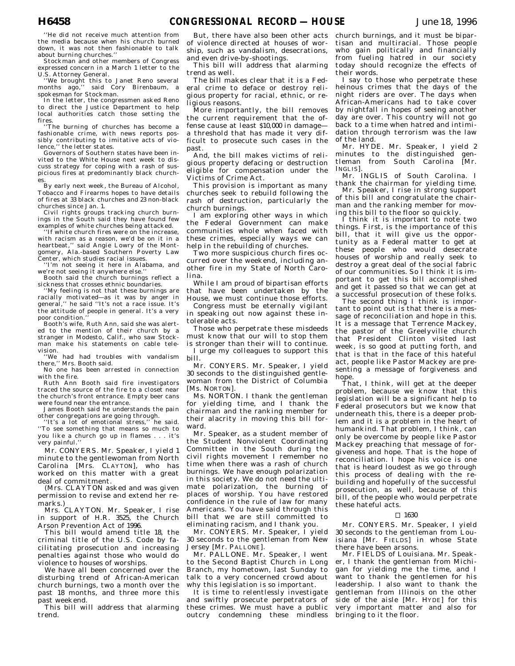''He did not receive much attention from the media because when his church burned down, it was not then fashionable to talk about burning churches.''

Stockman and other members of Congress expressed concern in a March 1 letter to the

U.S. Attorney General. ''We brought this to Janet Reno several months ago,'' said Cory Birenbaum, a spokesman for Stockman.

In the letter, the congressmen asked Reno to direct the Justice Department to help local authorities catch those setting the fires.

The burning of churches has become a fashionable crime, with news reports possibly contributing to imitative acts of violence,'' the letter states.

Governors of Southern states have been invited to the White House next week to discuss strategy for coping with a rash of suspicious fires at predominantly black churches.

By early next week, the Bureau of Alcohol, Tobacco and Firearms hopes to have details of fires at 33 black churches and 23 non-black churches since Jan. 1.

Civil rights groups tracking church burnings in the South said they have found few examples of white churches being attacked.

'If white church fires were on the increase. with racism as a reason, we'd be on it in a heartbeat,'' said Angie Lowry of the Montgomery, Ala.-based Southern Poverty Law Center, which studies racial issues.

'I'm not seeing it here in Alabama, and we're not seeing it anywhere else.'' Booth said the church burnings reflect a

sickness that crosses ethnic boundaries.

'My feeling is not that these burnings are racially motivated—as it was by anger in general,'' he said ''It's not a race issue. It's the attitude of people in general. It's a very poor condition.

Booth's wife, Ruth Ann, said she was alerted to the mention of their church by a stranger in Modesto, Calif., who saw Stockman make his statements on cable television.

''We had had troubles with vandalism there,'' Mrs. Booth said.

No one has been arrested in connection with the fire.

Ruth Ann Booth said fire investigators traced the source of the fire to a closet near the church's front entrance. Empty beer cans were found near the entrance.

James Booth said he understands the pain other congregations are going through.<br>"It's a lot of emotional stress," he said.

'It's a lot of emotional stress.' ''To see something that means so much to you like a church go up in flames . . . it's very painful.''

Mr. CONYERS. Mr. Speaker, I yield 1 minute to the gentlewoman from North Carolina [Mrs. CLAYTON], who has worked on this matter with a great deal of commitment.

(Mrs. CLAYTON asked and was given permission to revise and extend her remarks.)

Mrs. CLAYTON. Mr. Speaker, I rise in support of H.R. 3525, the Church Arson Prevention Act of 1996.

This bill would amend title 18, the criminal title of the U.S. Code by facilitating prosecution and increasing penalties against those who would do violence to houses of worships.

We have all been concerned over the disturbing trend of African-American church burnings, two a month over the past 18 months, and three more this past weekend.

This bill will address that alarming trend.

But, there have also been other acts of violence directed at houses of worship, such as vandalism, desecrations, and even drive-by-shootings.

This bill will address that alarming trend as well.

The bill makes clear that it is a Federal crime to deface or destroy religious property for racial, ethnic, or religious reasons.

More importantly, the bill removes the current requirement that the offense cause at least \$10,000 in damage a threshold that has made it very difficult to prosecute such cases in the past.

And, the bill makes victims of religious property defacing or destruction eligible for compensation under the Victims of Crime Act.

This provision is important as many churches seek to rebuild following the rash of destruction, particularly the church burnings.

I am exploring other ways in which the Federal Government can make communities whole when faced with these crimes, especially ways we can help in the rebuilding of churches.

Two more suspicious church fires occurred over the weekend, including another fire in my State of North Carolina.

While I am proud of bipartisan efforts that have been undertaken by the House, we must continue those efforts.

Congress must be eternally vigilant in speaking out now against these intolerable acts.

Those who perpetrate these misdeeds must know that our will to stop them is stronger than their will to continue. I urge my colleagues to support this bill.

Mr. CONYERS. Mr. Speaker, I yield 30 seconds to the distinguished gentlewoman from the District of Columbia [Ms. NORTON].

Ms. NORTON. I thank the gentleman for yielding time, and I thank the chairman and the ranking member for their alacrity in moving this bill forward.

Mr. Speaker, as a student member of the Student Nonviolent Coordinating Committee in the South during the civil rights movement I remember no time when there was a rash of church burnings. We have enough polarization in this society. We do not need the ultimate polarization, the burning of places of worship. You have restored confidence in the rule of law for many Americans. You have said through this bill that we are still committed to eliminating racism, and I thank you.

Mr. CONYERS. Mr. Speaker, I yield 30 seconds to the gentleman from New Jersey [Mr. PALLONE].

Mr. PALLONE. Mr. Speaker, I went to the Second Baptist Church in Long Branch, my hometown, last Sunday to talk to a very concerned crowd about why this legislation is so important.

It is time to relentlessly investigate and swiftly prosecute perpetrators of these crimes. We must have a public outcry condemning these mindless church burnings, and it must be bipartisan and multiracial. Those people who gain politically and financially from fueling hatred in our society today should recognize the effects of their words.

I say to those who perpetrate these heinous crimes that the days of the night riders are over. The days when African-Americans had to take cover by nightfall in hopes of seeing another day are over. This country will not go back to a time when hatred and intimidation through terrorism was the law of the land.

Mr. HYDE. Mr. Speaker, I yield 2 minutes to the distinguished gentleman from South Carolina [Mr. INGLIS].

Mr. INGLIS of South Carolina. I thank the chairman for yielding time. Mr. Speaker, I rise in strong support of this bill and congratulate the chairman and the ranking member for moving this bill to the floor so quickly.

I think it is important to note two things. First, is the importance of this bill, that it will give us the opportunity as a Federal matter to get at these people who would desecrate houses of worship and really seek to destroy a great deal of the social fabric of our communities. So I think it is important to get this bill accomplished and get it passed so that we can get at a successful prosecution of these folks.

The second thing I think is important to point out is that there is a message of reconciliation and hope in this. It is a message that Terrence Mackey, the pastor of the Greelyville church that President Clinton visited last week, is so good at putting forth, and that is that in the face of this hateful act, people like Pastor Mackey are presenting a message of forgiveness and hope.

That, I think, will get at the deeper problem, because we know that this legislation will be a significant help to Federal prosecutors but we know that underneath this, there is a deeper problem and it is a problem in the heart of humankind. That problem, I think, can only be overcome by people like Pastor Mackey preaching that message of forgiveness and hope. That is the hope of reconciliation.  $\overrightarrow{l}$  hope his voice is one that is heard loudest as we go through this process of dealing with the rebuilding and hopefully of the successful prosecution, as well, because of this bill, of the people who would perpetrate these hateful acts.

#### $\Box$  1630

Mr. CONYERS. Mr. Speaker, I yield 30 seconds to the gentleman from Louisiana [Mr. FIELDS] in whose State there have been arsons.

Mr. FIELDS of Louisiana. Mr. Speaker, I thank the gentleman from Michigan for yielding me the time, and I want to thank the gentlemen for his leadership. I also want to thank the gentleman from Illinois on the other side of the aisle [Mr. HYDE] for this very important matter and also for bringing to it the floor.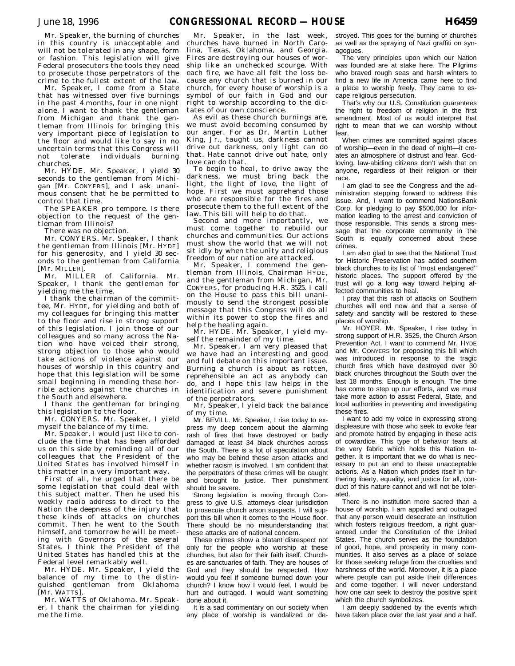Mr. Speaker, the burning of churches in this country is unacceptable and will not be tolerated in any shape, form or fashion. This legislation will give Federal prosecutors the tools they need to prosecute those perpetrators of the crime to the fullest extent of the law.

Mr. Speaker, I come from a State that has witnessed over five burnings in the past 4 months, four in one night alone. I want to thank the gentleman from Michigan and thank the gentleman from Illinois for bringing this very important piece of legislation to the floor and would like to say in no uncertain terms that this Congress will<br>not tolerate individuals burning tolerate individuals burning churches.

Mr. HYDE. Mr. Speaker, I yield 30 seconds to the gentleman from Michigan [Mr. CONYERS], and I ask unanimous consent that he be permitted to control that time.

The SPEAKER pro tempore. Is there objection to the request of the gentleman from Illinois?

There was no objection.

Mr. CONYERS. Mr. Speaker, I thank the gentleman from Illinois [Mr. HYDE] for his generosity, and I yield 30 seconds to the gentleman from California [Mr. MILLER].

Mr. MILLER of California. Mr. Speaker, I thank the gentleman for yielding me the time.

I thank the chairman of the committee, Mr. HYDE, for yielding and both of my colleagues for bringing this matter to the floor and rise in strong support of this legislation. I join those of our colleagues and so many across the Nation who have voiced their strong, strong objection to those who would take actions of violence against our houses of worship in this country and hope that this legislation will be some small beginning in mending these horrible actions against the churches in the South and elsewhere.

I thank the gentleman for bringing this legislation to the floor.

Mr. CONYERS. Mr. Speaker, I yield myself the balance of my time.

Mr. Speaker, I would just like to conclude the time that has been afforded us on this side by reminding all of our colleagues that the President of the United States has involved himself in this matter in a very important way.

First of all, he urged that there be some legislation that could deal with this subject matter. Then he used his weekly radio address to direct to the  $\frac{1}{2}$  Nation the deepness of the injury that these kinds of attacks on churches commit. Then he went to the South himself, and tomorrow he will be meeting with Governors of the several States. I think the President of the United States has handled this at the Federal level remarkably well.

Mr. HYDE. Mr. Speaker, I yield the balance of my time to the distinguished gentleman from Oklahoma [Mr. WATTS].

Mr. WATTS of Oklahoma. Mr. Speaker, I thank the chairman for yielding me the time.

Mr. Speaker, in the last week, churches have burned in North Carolina, Texas, Oklahoma, and Georgia. Fires are destroying our houses of worship like an unchecked scourge. With each fire, we have all felt the loss because any church that is burned in our church, for every house of worship is a symbol of our faith in God and our right to worship according to the dictates of our own conscience.

As evil as these church burnings are, we must avoid becoming consumed by our anger. For as Dr. Martin Luther King, Jr., taught us, darkness cannot drive out darkness, only light can do that. Hate cannot drive out hate, only love can do that.

To begin to heal, to drive away the darkness, we must bring back the light, the light of love, the light of hope. First we must apprehend those who are responsible for the fires and prosecute them to the full extent of the law. This bill will help to do that.

Second and more importantly, we must come together to rebuild our churches and communities. Our actions must show the world that we will not sit idly by when the unity and religious freedom of our nation are attacked.

Mr. Speaker, I commend the gentleman from Illinois, Chairman HYDE, and the gentleman from Michigan, Mr. CONYERS, for producing H.R. 3525. I call on the House to pass this bill unanimously to send the strongest possible message that this Congress will do all within its power to stop the fires and help the healing again.

Mr. HYDE. Mr. Speaker, I yield myself the remainder of my time.

Mr. Speaker, I am very pleased that we have had an interesting and good and full debate on this important issue. Burning a church is about as rotten, reprehensible an act as anybody can do, and I hope this law helps in the identification and severe punishment of the perpetrators.

Mr. Speaker, I yield back the balance of my time.

Mr. BEVILL. Mr. Speaker, I rise today to express my deep concern about the alarming rash of fires that have destroyed or badly damaged at least 34 black churches across the South. There is a lot of speculation about who may be behind these arson attacks and whether racism is involved. I am confident that the perpetrators of these crimes will be caught and brought to justice. Their punishment should be severe.

Strong legislation is moving through Congress to give U.S. attorneys clear jurisdiction to prosecute church arson suspects. I will support this bill when it comes to the House floor. There should be no misunderstanding that these attacks are of national concern.

These crimes show a blatant disrespect not only for the people who worship at these churches, but also for their faith itself. Churches are sanctuaries of faith. They are houses of God and they should be respected. How would you feel if someone burned down your church? I know how I would feel. I would be hurt and outraged. I would want something done about it.

It is a sad commentary on our society when any place of worship is vandalized or de-

stroyed. This goes for the burning of churches as well as the spraying of Nazi graffiti on synagogues.

The very principles upon which our Nation was founded are at stake here. The Pilgrims who braved rough seas and harsh winters to find a new life in America came here to find a place to worship freely. They came to escape religious persecution.

That's why our U.S. Constitution guarantees the right to freedom of religion in the first amendment. Most of us would interpret that right to mean that we can worship without fear.

When crimes are committed against places of worship—even in the dead of night—it creates an atmosphere of distrust and fear. Godloving, law-abiding citizens don't wish that on anyone, regardless of their religion or their race.

I am glad to see the Congress and the administration stepping forward to address this issue. And, I want to commend NationsBank Corp. for pledging to pay \$500,000 for information leading to the arrest and conviction of those responsible. This sends a strong message that the corporate community in the South is equally concerned about these crimes.

I am also glad to see that the National Trust for Historic Preservation has added southern black churches to its list of ''most endangered'' historic places. The support offered by the trust will go a long way toward helping affected communities to heal.

I pray that this rash of attacks on Southern churches will end now and that a sense of safety and sanctity will be restored to these places of worship.

Mr. HOYER. Mr. Speaker, I rise today in strong support of H.R. 3525, the Church Arson Prevention Act. I want to commend Mr. HYDE and Mr. CONYERS for proposing this bill which was introduced in response to the tragic church fires which have destroyed over 30 black churches throughout the South over the last 18 months. Enough is enough. The time has come to step up our efforts, and we must take more action to assist Federal, State, and local authorities in preventing and investigating these fires.

I want to add my voice in expressing strong displeasure with those who seek to evoke fear and promote hatred by engaging in these acts of cowardice. This type of behavior tears at the very fabric which holds this Nation together. It is important that we do what is necessary to put an end to these unacceptable actions. As a Nation which prides itself in furthering liberty, equality, and justice for all, conduct of this nature cannot and will not be tolerated.

There is no institution more sacred than a house of worship. I am appalled and outraged that any person would desecrate an institution which fosters religious freedom, a right guaranteed under the Constitution of the United States. The church serves as the foundation of good, hope, and prosperity in many communities. It also serves as a place of solace for those seeking refuge from the cruelties and harshness of the world. Moreover, it is a place where people can put aside their differences and come together. I will never understand how one can seek to destroy the positive spirit which the church symbolizes.

I am deeply saddened by the events which have taken place over the last year and a half.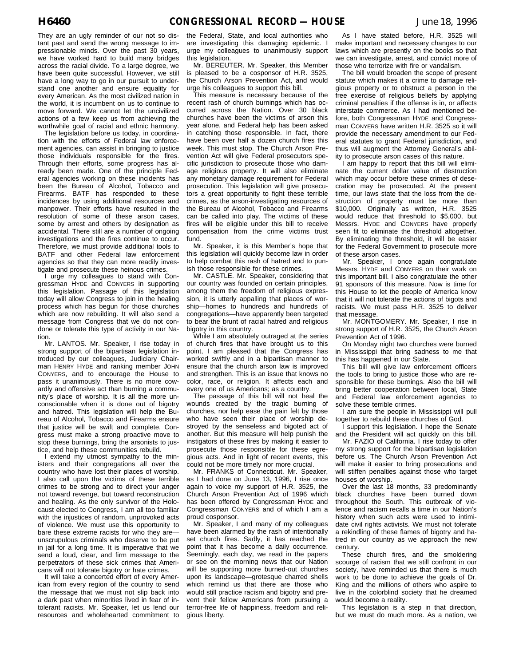They are an ugly reminder of our not so distant past and send the wrong message to impressionable minds. Over the past 30 years, we have worked hard to build many bridges across the racial divide. To a large degree, we have been quite successful. However, we still have a long way to go in our pursuit to understand one another and ensure equality for every American. As the most civilized nation in the world, it is incumbent on us to continue to move forward. We cannot let the uncivilized actions of a few keep us from achieving the worthwhile goal of racial and ethnic harmony.

The legislation before us today, in coordination with the efforts of Federal law enforcement agencies, can assist in bringing to justice those individuals responsible for the fires. Through their efforts, some progress has already been made. One of the principle Federal agencies working on these incidents has been the Bureau of Alcohol, Tobacco and Firearms. BATF has responded to these incidences by using additional resources and manpower. Their efforts have resulted in the resolution of some of these arson cases, some by arrest and others by designation as accidental. There still are a number of ongoing investigations and the fires continue to occur. Therefore, we must provide additional tools to BATF and other Federal law enforcement agencies so that they can more readily investigate and prosecute these heinous crimes.

I urge my colleagues to stand with Congressman HYDE and CONYERS in supporting this legislation. Passage of this legislation today will allow Congress to join in the healing process which has begun for those churches which are now rebuilding. It will also send a message from Congress that we do not condone or tolerate this type of activity in our Nation.

Mr. LANTOS. Mr. Speaker, I rise today in strong support of the bipartisan legislation introduced by our colleagues, Judiciary Chairman HENRY HYDE and ranking member JOHN CONYERS, and to encourage the House to pass it unanimously. There is no more cowardly and offensive act than burning a community's place of worship. It is all the more unconscionable when it is done out of bigotry and hatred. This legislation will help the Bureau of Alcohol, Tobacco and Firearms ensure that justice will be swift and complete. Congress must make a strong proactive move to stop these burnings, bring the arsonists to justice, and help these communities rebuild.

I extend my utmost sympathy to the ministers and their congregations all over the country who have lost their places of worship. I also call upon the victims of these terrible crimes to be strong and to direct your anger not toward revenge, but toward reconstruction and healing. As the only survivor of the Holocaust elected to Congress, I am all too familiar with the injustices of random, unprovoked acts of violence. We must use this opportunity to bare these extreme racists for who they are unscrupulous criminals who deserve to be put in jail for a long time. It is imperative that we send a loud, clear, and firm message to the perpetrators of these sick crimes that Americans will not tolerate bigotry or hate crimes.

It will take a concerted effort of every American from every region of the country to send the message that we must not slip back into a dark past when minorities lived in fear of intolerant racists. Mr. Speaker, let us lend our resources and wholehearted commitment to

the Federal, State, and local authorities who are investigating this damaging epidemic. I urge my colleagues to unanimously support this legislation.

Mr. BEREUTER. Mr. Speaker, this Member is pleased to be a cosponsor of H.R. 3525, the Church Arson Prevention Act, and would urge his colleagues to support this bill.

This measure is necessary because of the recent rash of church burnings which has occurred across the Nation. Over 30 black churches have been the victims of arson this year alone, and Federal help has been asked in catching those responsible. In fact, there have been over half a dozen church fires this week. This must stop. The Church Arson Prevention Act will give Federal prosecutors specific jurisdiction to prosecute those who damage religious property. It will also eliminate any monetary damage requirement for Federal prosecution. This legislation will give prosecutors a great opportunity to fight these terrible crimes, as the arson-investigating resources of the Bureau of Alcohol, Tobacco and Firearms can be called into play. The victims of these fires will be eligible under this bill to receive compensation from the crime victims trust fund.

Mr. Speaker, it is this Member's hope that this legislation will quickly become law in order to help combat this rash of hatred and to punish those responsible for these crimes.

Mr. CASTLE. Mr. Speaker, considering that our country was founded on certain principles, among them the freedom of religious expression, it is utterly appalling that places of worship—homes to hundreds and hundreds of congregations—have apparently been targeted to bear the brunt of racial hatred and religious bigotry in this country.

While I am absolutely outraged at the series of church fires that have brought us to this point, I am pleased that the Congress has worked swiftly and in a bipartisan manner to ensure that the church arson law is improved and strengthen. This is an issue that knows no color, race, or religion. It affects each and every one of us Americans; as a country.

The passage of this bill will not heal the wounds created by the tragic burning of churches, nor help ease the pain felt by those who have seen their place of worship destroyed by the senseless and bigoted act of another. But this measure will help punish the instigators of these fires by making it easier to prosecute those responsible for these egregious acts. And in light of recent events, this could not be more timely nor more crucial.

Mr. FRANKS of Connecticut. Mr. Speaker as I had done on June 13, 1996, I rise once again to voice my support of H.R. 3525, the Church Arson Prevention Act of 1996 which has been offered by Congressman HYDE and Congressman CONYERS and of which I am a proud cosponsor.

Mr. Speaker, I and many of my colleagues have been alarmed by the rash of intentionally set church fires. Sadly, it has reached the point that it has become a daily occurrence. Seemingly, each day, we read in the papers or see on the morning news that our Nation will be supporting more burned-out churches upon its landscape—grotesque charred shells which remind us that there are those who would still practice racism and bigotry and prevent their fellow Americans from pursuing a terror-free life of happiness, freedom and religious liberty.

As I have stated before, H.R. 3525 will make important and necessary changes to our laws which are presently on the books so that we can investigate, arrest, and convict more of those who terrorize with fire or vandalism.

The bill would broaden the scope of present statute which makes it a crime to damage religious property or to obstruct a person in the free exercise of religious beliefs by applying criminal penalties if the offense is in, or affects interstate commerce. As I had mentioned before, both Congressman HYDE and Congressman CONYERS have written H.R. 3525 so it will provide the necessary amendment to our Federal statutes to grant Federal jurisdiction, and thus will augment the Attorney General's ability to prosecute arson cases of this nature.

I am happy to report that this bill will eliminate the current dollar value of destruction which may occur before these crimes of desecration may be prosecuted. At the present time, our laws state that the loss from the destruction of property must be more than \$10,000. Originally as written, H.R. 3525 would reduce that threshold to \$5,000, but Messrs. HYDE and CONYERS have properly seen fit to eliminate the threshold altogether. By eliminating the threshold, it will be easier for the Federal Government to prosecute more of these arson cases.

Mr. Speaker, I once again congratulate Messrs. HYDE and CONYERS on their work on this important bill. I also congratulate the other 91 sponsors of this measure. Now is time for this House to let the people of America know that it will not tolerate the actions of bigots and racists. We must pass H.R. 3525 to deliver that message

Mr. MONTGOMERY. Mr. Speaker, I rise in strong support of H.R. 3525, the Church Arson Prevention Act of 1996.

On Monday night two churches were burned in Mississippi that bring sadness to me that this has happened in our State.

This bill will give law enforcement officers the tools to bring to justice those who are responsible for these burnings. Also the bill will bring better cooperation between local, State and Federal law enforcement agencies to solve these terrible crimes.

I am sure the people in Mississippi will pull together to rebuild these churches of God.

I support this legislation. I hope the Senate and the President will act quickly on this bill.

Mr. FAZIO of California. I rise today to offer my strong support for the bipartisan legislation before us. The Church Arson Prevention Act will make it easier to bring prosecutions and will stiffen penalties against those who target houses of worship.

Over the last 18 months, 33 predominantly black churches have been burned down throughout the South. This outbreak of violence and racism recalls a time in our Nation's history when such acts were used to intimidate civil rights activists. We must not tolerate a rekindling of these flames of bigotry and hatred in our country as we approach the new century.

These church fires, and the smoldering scourge of racism that we still confront in our society, have reminded us that there is much work to be done to achieve the goals of Dr. King and the millions of others who aspire to live in the colorblind society that he dreamed would become a reality.

This legislation is a step in that direction, but we must do much more. As a nation, we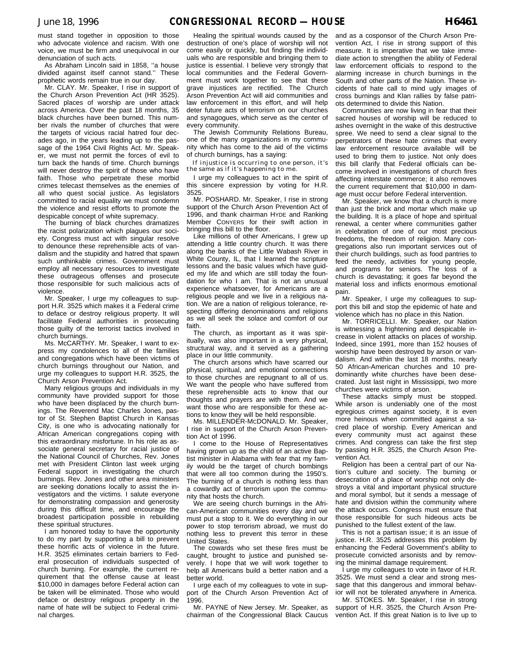must stand together in opposition to those who advocate violence and racism. With one voice, we must be firm and unequivocal in our denunciation of such acts.

As Abraham Lincoln said in 1858, ''a house divided against itself cannot stand.'' These prophetic words remain true in our day.

Mr. CLAY. Mr. Speaker, I rise in support of the Church Arson Prevention Act (HR 3525). Sacred places of worship are under attack across America. Over the past 18 months, 35 black churches have been burned. This number rivals the number of churches that were the targets of vicious racial hatred four decades ago, in the years leading up to the passage of the 1964 Civil Rights Act. Mr. Speaker, we must not permit the forces of evil to turn back the hands of time. Church burnings will never destroy the spirit of those who have faith. Those who perpetrate these morbid crimes telecast themselves as the enemies of all who quest social justice. As legislators committed to racial equality we must condemn the violence and resist efforts to promote the despicable concept of white supremacy.

The burning of black churches dramatizes the racist polarization which plagues our society. Congress must act with singular resolve to denounce these reprehensible acts of vandalism and the stupidity and hatred that spawn such unthinkable crimes. Government must employ all necessary resources to investigate these outrageous offenses and prosecute those responsible for such malicious acts of violence.

Mr. Speaker, I urge my colleagues to support H.R. 3525 which makes it a Federal crime to deface or destroy religious property. It will facilitate Federal authorities in prosecuting those guilty of the terrorist tactics involved in church burnings.

Ms. McCARTHY. Mr. Speaker, I want to express my condolences to all of the families and congregations which have been victims of church burnings throughout our Nation, and urge my colleagues to support H.R. 3525, the Church Arson Prevention Act.

Many religious groups and individuals in my community have provided support for those who have been displaced by the church burnings. The Reverend Mac Charles Jones, pastor of St. Stephen Baptist Church in Kansas City, is one who is advocating nationally for African American congregations coping with this extraordinary misfortune. In his role as associate general secretary for racial justice of the National Council of Churches, Rev. Jones met with President Clinton last week urging Federal support in investigating the church burnings. Rev. Jones and other area ministers are seeking donations locally to assist the investigators and the victims. I salute everyone for demonstrating compassion and generosity during this difficult time, and encourage the broadest participation possible in rebuilding these spiritual structures.

I am honored today to have the opportunity to do my part by supporting a bill to prevent these horrific acts of violence in the future. H.R. 3525 eliminates certain barriers to Federal prosecution of individuals suspected of church burning. For example, the current requirement that the offense cause at least \$10,000 in damages before Federal action can be taken will be eliminated. Those who would deface or destroy religious property in the name of hate will be subject to Federal criminal charges.

Healing the spiritual wounds caused by the destruction of one's place of worship will not come easily or quickly, but finding the individuals who are responsible and bringing them to iustice is essential. I believe very strongly that local communities and the Federal Government must work together to see that these grave injustices are rectified. The Church Arson Prevention Act will aid communities and law enforcement in this effort, and will help deter future acts of terrorism on our churches and synagogues, which serve as the center of every community.

The Jewish Community Relations Bureau, one of the many organizations in my community which has come to the aid of the victims of church burnings, has a saying:

If injustice is occurring to one person, it's the same as if it's happening to me.

I urge my colleagues to act in the spirit of this sincere expression by voting for H.R. 3525.

Mr. POSHARD. Mr. Speaker, I rise in strong support of the Church Arson Prevention Act of 1996, and thank chairman HYDE and Ranking Member CONYERS for their swift action in bringing this bill to the floor.

Like millions of other Americans, Lorew up attending a little country church. It was there along the banks of the Little Wabash River in White County, IL, that I learned the scripture lessons and the basic values which have guided my life and which are still today the foundation for who I am. That is not an unusual experience whatsoever, for Americans are a religious people and we live in a religious nation. We are a nation of religious tolerance, respecting differing denominations and religions as we all seek the solace and comfort of our faith.

The church, as important as it was spiritually, was also important in a very physical, structural way, and it served as a gathering place in our little community.

The church arsons which have scarred our physical, spiritual, and emotional connections to those churches are repugnant to all of us. We want the people who have suffered from these reprehensible acts to know that our thoughts and prayers are with them. And we want those who are responsible for these actions to know they will be held responsible.

Ms. MILLENDER-MCDONALD. Mr. Speaker, I rise in support of the Church Arson Prevention Act of 1996.

I come to the House of Representatives having grown up as the child of an active Baptist minister in Alabama with fear that my family would be the target of church bombings that were all too common during the 1950's. The burning of a church is nothing less than a cowardly act of terrorism upon the community that hosts the church.

We are seeing church burnings in the African-American communities every day and we must put a stop to it. We do everything in our power to stop terrorism abroad, we must do nothing less to prevent this terror in these United States.

The cowards who set these fires must be caught, brought to justice and punished severely. I hope that we will work together to help all Americans build a better nation and a better world.

I urge each of my colleagues to vote in support of the Church Arson Prevention Act of 1996.

Mr. PAYNE of New Jersey. Mr. Speaker, as chairman of the Congressional Black Caucus

and as a cosponsor of the Church Arson Prevention Act, I rise in strong support of this measure. It is imperative that we take immediate action to strengthen the ability of Federal law enforcement officials to respond to the alarming increase in church burnings in the South and other parts of the Nation. These incidents of hate call to mind ugly images of cross burnings and Klan rallies by false patriots determined to divide this Nation.

Communities are now living in fear that their sacred houses of worship will be reduced to ashes overnight in the wake of this destructive spree. We need to send a clear signal to the perpetrators of these hate crimes that every law enforcement resource available will be used to bring them to justice. Not only does this bill clarify that Federal officials can become involved in investigations of church fires affecting interstate commerce; it also removes the current requirement that \$10,000 in damage must occur before Federal intervention.

Mr. Speaker, we know that a church is more than just the brick and mortar which make up the building. It is a place of hope and spiritual renewal, a center where communities gather in celebration of one of our most precious freedoms, the freedom of religion. Many congregations also run important services out of their church buildings, such as food pantries to feed the needy, activities for young people, and programs for seniors. The loss of a church is devastating; it goes far beyond the material loss and inflicts enormous emotional pain.

Mr. Speaker, I urge my colleagues to support this bill and stop the epidemic of hate and violence which has no place in this Nation.

Mr. TORRICELLI. Mr. Speaker, our Nation is witnessing a frightening and despicable increase in violent attacks on places of worship. Indeed, since 1991, more than 152 houses of worship have been destroyed by arson or vandalism. And within the last 18 months, nearly 50 African-American churches and 10 predominantly white churches have been desecrated. Just last night in Mississippi, two more churches were victims of arson.

These attacks simply must be stopped. While arson is undeniably one of the most egregious crimes against society, it is even more heinous when committed against a sacred place of worship. Every American and every community must act against these crimes. And congress can take the first step by passing H.R. 3525, the Church Arson Prevention Act.

Religion has been a central part of our Nation's culture and society. The burning or desecration of a place of worship not only destroys a vital and important physical structure and moral symbol, but it sends a message of hate and division within the community where the attack occurs. Congress must ensure that those responsible for such hideous acts be punished to the fullest extent of the law.

This is not a partisan issue; it is an issue of justice. H.R. 3525 addresses this problem by enhancing the Federal Government's ability to prosecute convicted arsonists and by removing the minimal damage requirement.

I urge my colleagues to vote in favor of H.R. 3525. We must send a clear and strong message that this dangerous and immoral behavior will not be tolerated anywhere in America.

Mr. STOKES. Mr. Speaker, I rise in strong support of H.R. 3525, the Church Arson Prevention Act. If this great Nation is to live up to